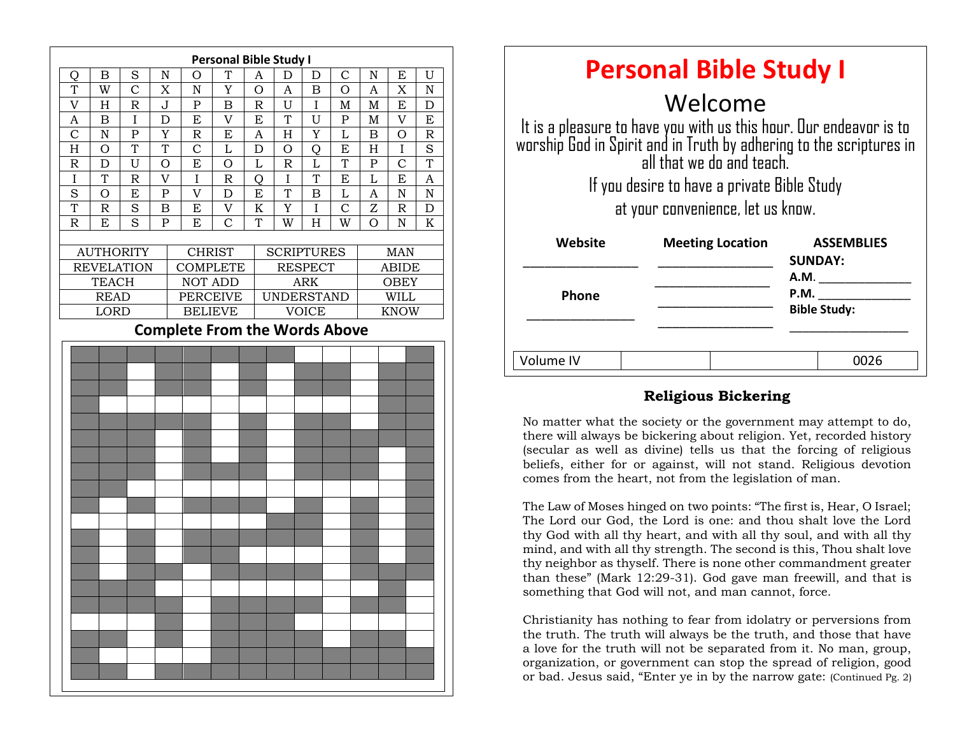

| <b>Personal Bible Study I</b>                                                                                                                                         |                         |                                     |
|-----------------------------------------------------------------------------------------------------------------------------------------------------------------------|-------------------------|-------------------------------------|
| Welcome                                                                                                                                                               |                         |                                     |
| It is a pleasure to have you with us this hour. Our endeavor is to<br>worship God in Spirit and in Truth by adhering to the scriptures in<br>all that we do and teach |                         |                                     |
| If you desire to have a private Bible Study                                                                                                                           |                         |                                     |
| at your convenience, let us know.                                                                                                                                     |                         |                                     |
| <b>Website</b>                                                                                                                                                        | <b>Meeting Location</b> | <b>ASSEMBLIES</b><br><b>SUNDAY:</b> |
|                                                                                                                                                                       |                         | <b>A.M.</b>                         |
| <b>Phone</b>                                                                                                                                                          |                         | P.M.<br><b>Bible Study:</b>         |
|                                                                                                                                                                       |                         |                                     |
| Volume IV                                                                                                                                                             |                         | 0026                                |

#### **Religious Bickering**

beliefs, either for or against, will not stand. Religious devotion No matter what the society or the government may attempt to do, there will always be bickering about religion. Yet, recorded history (secular as well as divine) tells us that the forcing of religious comes from the heart, not from the legislation of man.

The Law of Moses hinged on two points: "The first is, Hear, O Israel; The Lord our God, the Lord is one: and thou shalt love the Lord thy God with all thy heart, and with all thy soul, and with all thy mind, and with all thy strength. The second is this, Thou shalt love thy neighbor as thyself. There is none other commandment greater than these" (Mark 12:29-31). God gave man freewill, and that is something that God will not, and man cannot, force.

Christianity has nothing to fear from idolatry or perversions from the truth. The truth will always be the truth, and those that have a love for the truth will not be separated from it. No man, group, organization, or government can stop the spread of religion, good or bad. Jesus said, "Enter ye in by the narrow gate: (Continued Pg. 2)